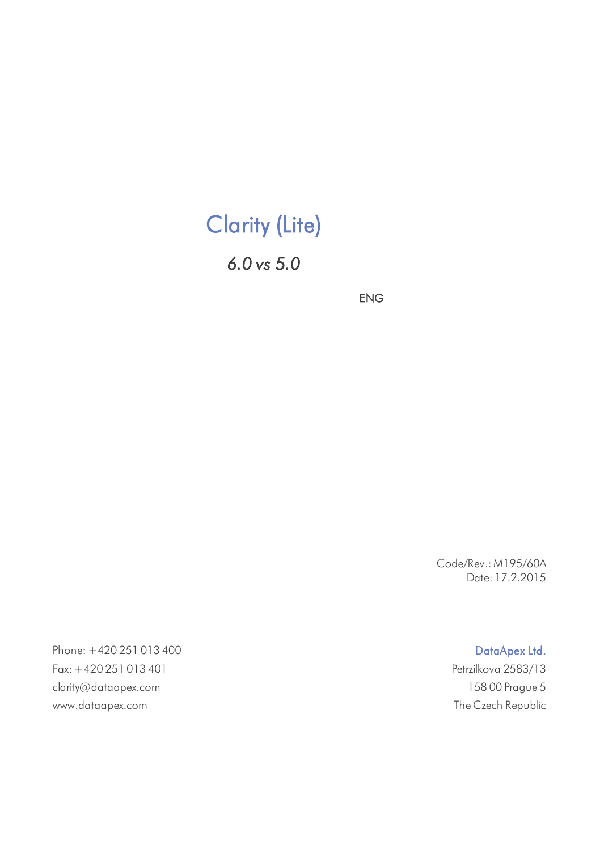# Clarity (Lite)

*6.0 vs 5.0*

ENG

Code/Rev.: M195/60A Date: 17.2.2015

Phone: +420 251 013 400 Data Apex Ltd. Fax: +420 251 013 401 Petrzilkova 2583/13 clarity@dataapex.com 158 00 Prague 5 www.dataapex.com The Czech Republic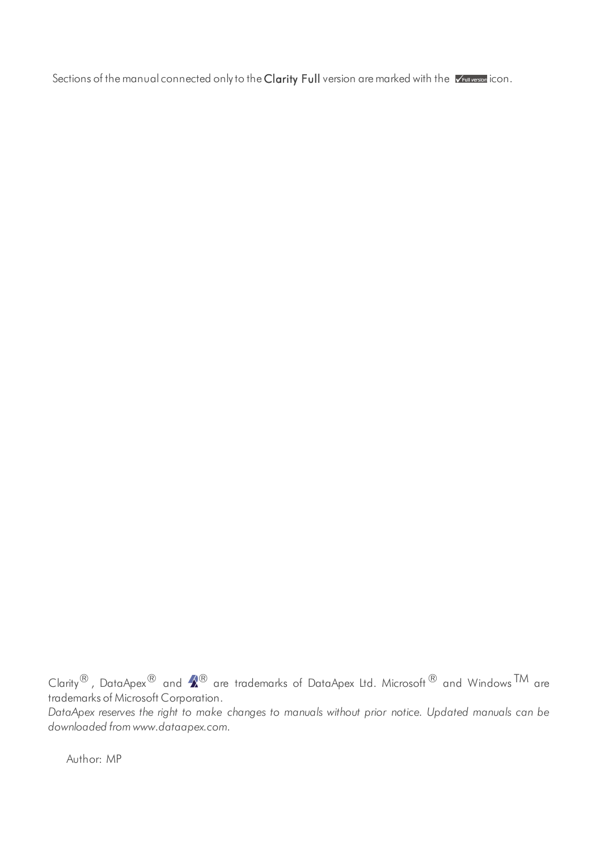Sections of the manual connected only to the Clarity Full version are marked with the VELL WELL OCO.

Clarity $^\circledR$  , DataApex $^\circledR$  and  $\blacktriangle\hspace{-0.1cm}R^\circledR$  are trademarks of DataApex Ltd. Microsoft  $^\circledR$  and Windows  $^{\mathsf{TM}}$  are trademarks of Microsoft Corporation.

*DataApex reserves the right to make changes to manuals without prior notice. Updated manuals can be downloaded from www.dataapex.com.*

Author: MP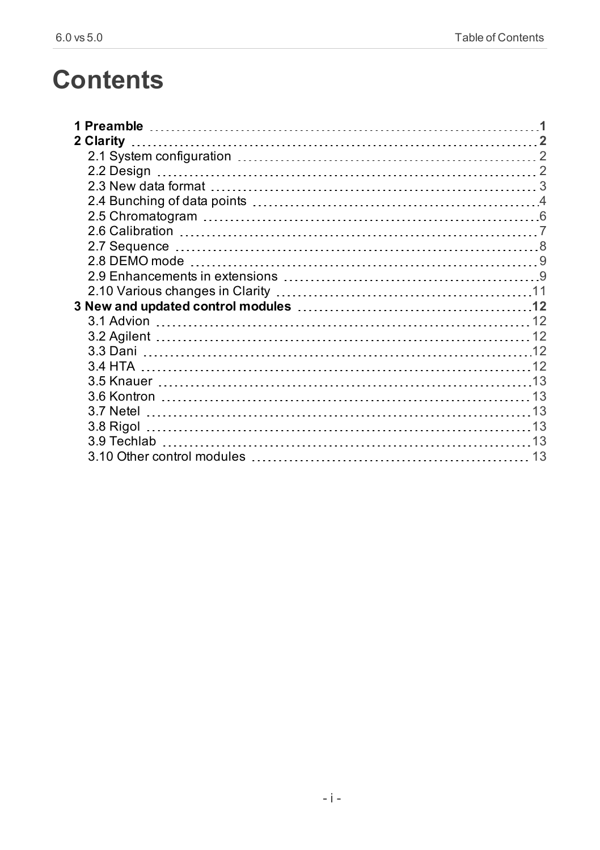# **Contents**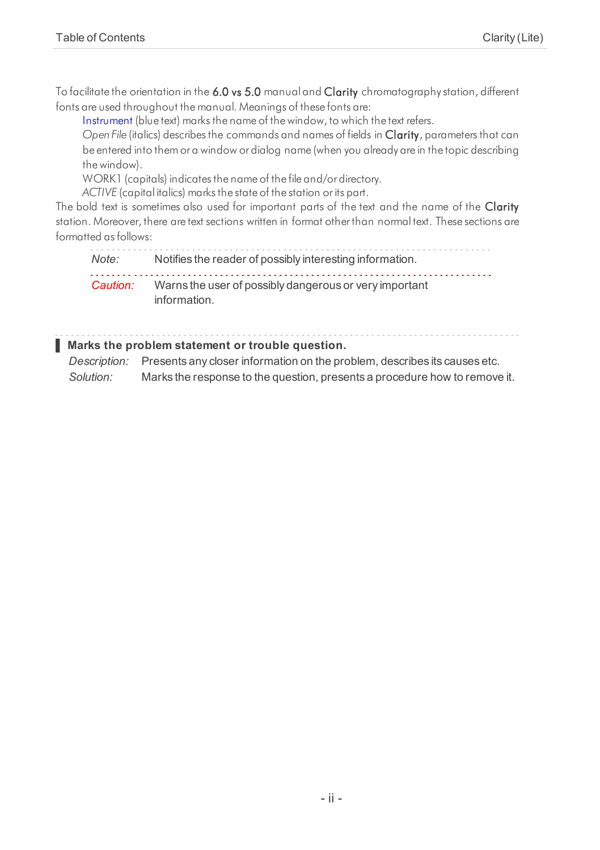To facilitate the orientation in the 6.0 vs 5.0 manual and Clarity chromatography station, different fonts are used throughout the manual. Meanings of these fonts are:

[Instrument](ms-its:Clarity.chm::/Help/020-instrument/020.000-instrument/020-instrument.htm) (blue text) marks the name of the window, to which the text refers.

*Open File* (italics) describes the commands and names of fields in **Clarity**, parameters that can be entered into themor a window or dialog name (when you already are in the topic describing thewindow).

WORK1 (capitals) indicates the name of the file and/or directory.

*ACTIVE* (capital italics) marks the state of the station or its part.

The bold text is sometimes also used for important parts of the text and the name of the Clarity station. Moreover, there are text sections written in format otherthan normal text. These sections are formatted as follows:

*Note:* Notifies the reader of possibly interesting information. *Caution:* Warns the user of possibly dangerous or very important information.

#### **▌ Marks the problem statement or trouble question.**

*Description:* Presents any closer information on the problem, describes its causes etc. *Solution:* Marks the response to the question, presents a procedure how to remove it.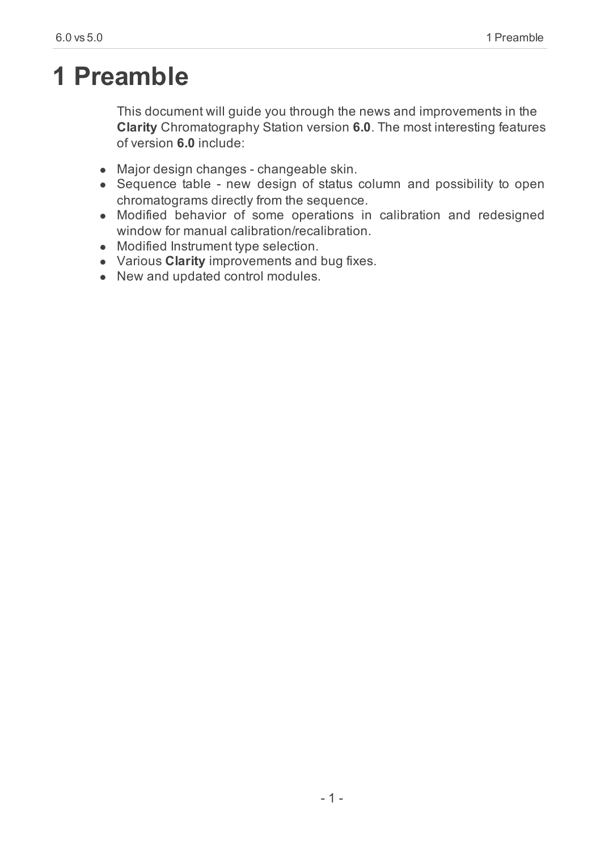# <span id="page-4-0"></span>**1 Preamble**

This document will guide you through the news and improvements in the **Clarity** Chromatography Station version **6.0**. The most interesting features of version **6.0** include:

- Major design changes changeable skin.
- Sequence table new design of status column and possibility to open chromatograms directly from the sequence.
- Modified behavior of some operations in calibration and redesigned window for manual calibration/recalibration.
- Modified Instrument type selection.
- **.** Various **Clarity** improvements and bug fixes.
- New and updated control modules.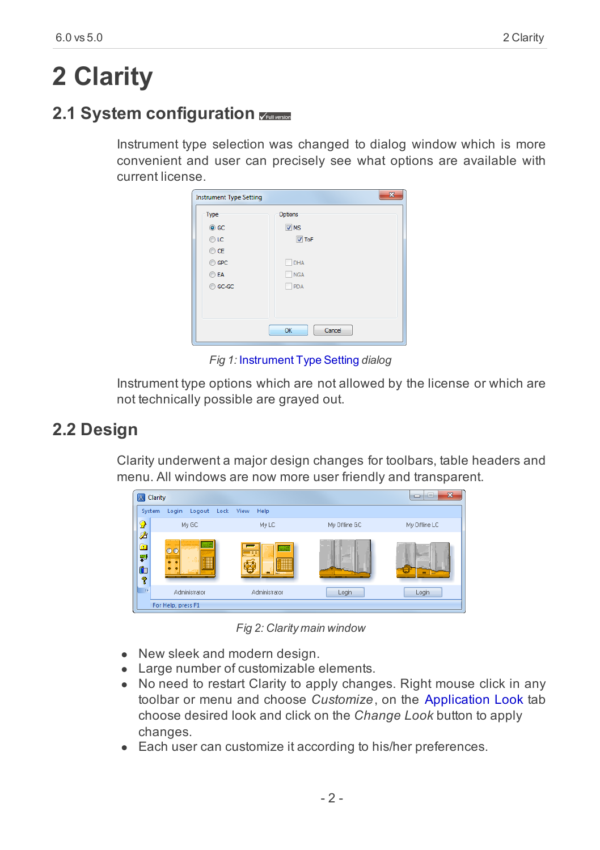# <span id="page-5-0"></span>**2 Clarity**

# <span id="page-5-1"></span>**2.1 System configuration**

Instrument type selection was changed to dialog window which is more convenient and user can precisely see what options are available with current license.

| <b>Instrument Type Setting</b> | $\overline{\mathbf{x}}$ |
|--------------------------------|-------------------------|
| Type                           | Options                 |
| $\odot$ GC                     | $\nabla$ MS             |
| $\odot$ LC                     | $V$ ToF                 |
| $\odot$ CE                     |                         |
| C GPC                          | DHA                     |
| <b>OEA</b>                     | <b>NGA</b>              |
| C GC-GC                        | PDA                     |
|                                |                         |
|                                |                         |
|                                | Cancel                  |
|                                | OK                      |

*Fig 1:* Instrument Type Setting *dialog*

Instrument type options which are not allowed by the license or which are not technically possible are grayed out.

# <span id="page-5-2"></span>**2.2 Design**

Clarity underwent a major design changes for toolbars, table headers and menu. All windows are now more user friendly and transparent.



*Fig 2: Clarity main window*

- New sleek and modern design.
- Large number of customizable elements.
- No need to restart Clarity to apply changes. Right mouse click in any toolbar or menu and choose *Customize*, on the Application Look tab choose desired look and click on the *Change Look* button to apply changes.
- Each user can customize it according to his/her preferences.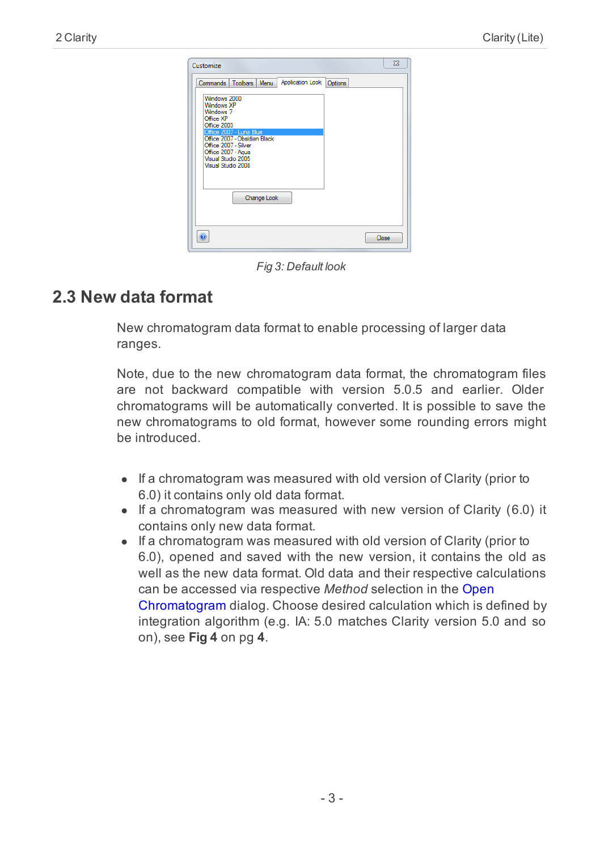| Customize                                                                              | $\Sigma$ |
|----------------------------------------------------------------------------------------|----------|
| Application Look Options<br>Commands   Toolbars   Menu                                 |          |
| Windows 2000<br><b>Windows XP</b><br>Windows <sub>7</sub><br>Office XP                 |          |
| Office 2003<br>Office 2007 - Luna Blue<br>Office 2007 - Obsidian Black                 |          |
| Office 2007 - Silver<br>Office 2007 - Agua<br>Visual Studio 2005<br>Visual Studio 2008 |          |
| <b>Change Look</b>                                                                     |          |
|                                                                                        |          |
|                                                                                        | Close    |

*Fig 3: Default look*

# <span id="page-6-0"></span>**2.3 New data format**

New chromatogram data format to enable processing of larger data ranges.

Note, due to the new chromatogram data format, the chromatogram files are not backward compatible with version 5.0.5 and earlier. Older chromatograms will be automatically converted. It is possible to save the new chromatograms to old format, however some rounding errors might be introduced.

- If a chromatogram was measured with old version of Clarity (prior to 6.0) it contains only old data format.
- $\bullet$  If a chromatogram was measured with new version of Clarity (6.0) it contains only new data format.
- $\bullet$  If a chromatogram was measured with old version of Clarity (prior to 6.0), opened and saved with the new version, it contains the old as well as the new data format. Old data and their respective calculations can be accessed via respective *Method* selection in the Open Chromatogram dialog. Choose desired calculation which is defined by integration algorithm (e.g. IA: 5.0 matches Clarity version 5.0 and so on), see **[Fig](#page-7-1) 4** on pg **4**.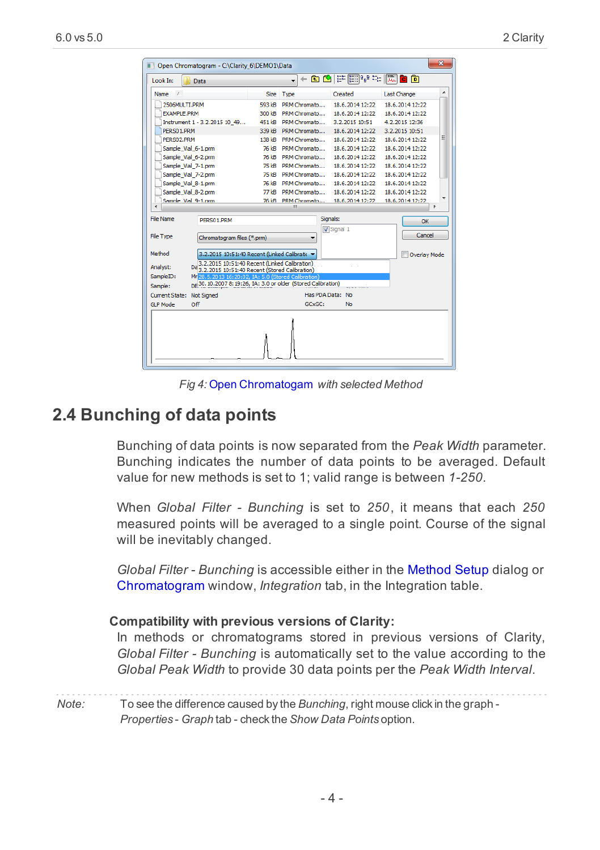|                        | Open Chromatogram - C:\Clarity 6\DEMO1\Data                                                    |             |                          |              |          |                            |                 |              | $\mathbf{x}$ |  |  |
|------------------------|------------------------------------------------------------------------------------------------|-------------|--------------------------|--------------|----------|----------------------------|-----------------|--------------|--------------|--|--|
| Look In:               | Data                                                                                           |             | $\overline{\phantom{0}}$ |              |          |                            |                 |              |              |  |  |
| Name<br>$\lambda$      |                                                                                                | <b>Size</b> | Type                     |              |          | Created                    | Last Change     |              |              |  |  |
| 2506MULTT.PRM          |                                                                                                | 593 kB      |                          | PRM Chromato |          | 18.6.2014 12:22            | 18.6.2014 12:22 |              |              |  |  |
| <b>EXAMPLE, PRM</b>    |                                                                                                | 300 kB      |                          | PRM Chromato |          | 18.6.2014 12:22            | 18.6.2014 12:22 |              |              |  |  |
|                        | Instrument 1 - 3.2.2015 10 49                                                                  | 451 kB      |                          | PRM Chromato |          | 3.2.2015 10:51             | 4.2.2015 12:36  |              |              |  |  |
| PERS01.PRM             |                                                                                                | 339 kB      |                          | PRM Chromato |          | 18.6.2014 12:22            | 3.2.2015 10:51  |              |              |  |  |
| PFRS02.PRM             |                                                                                                | 138 kB      |                          | PRM Chromato |          | 18.6.2014 12:22            | 18.6.2014 12:22 |              | Ξ            |  |  |
| Sample Vial 6-1.prm    |                                                                                                | 76 kB       |                          | PRM Chromato |          | 18.6.2014 12:22            | 18.6.2014 12:22 |              |              |  |  |
| Sample Vial 6-2.prm    |                                                                                                | 76 kB       |                          | PRM Chromato |          | 18.6.2014 12:22            | 18.6.2014 12:22 |              |              |  |  |
| Sample_Vial_7-1.prm    |                                                                                                | 75 kB       |                          | PRM Chromato |          | 18.6.2014 12:22            | 18.6.2014 12:22 |              |              |  |  |
| Sample Vial 7-2.prm    |                                                                                                | 75 kB       |                          | PRM Chromato |          | 18.6.2014 12:22            | 18.6.2014 12:22 |              |              |  |  |
| Sample Vial 8-1.prm    |                                                                                                | 76 kB       |                          | PRM Chromato |          | 18.6.2014 12:22            | 18.6.2014 12:22 |              |              |  |  |
| Sample Vial 8-2.prm    |                                                                                                | 77 kB       |                          | PRM Chromato |          | 18.6.2014 12:22            | 18.6.2014 12:22 |              |              |  |  |
| Sample Vial 9-1 pm     |                                                                                                | 76 kB       | Ш                        | PRM Chromato |          | 18.6.2014 12:22            | 18.6.2014 12:22 |              | r            |  |  |
|                        |                                                                                                |             |                          |              |          |                            |                 |              |              |  |  |
| <b>File Name</b>       | PERSO1.PRM                                                                                     |             |                          |              | Signals: |                            |                 | OK           |              |  |  |
|                        |                                                                                                |             |                          |              |          | Signal 1                   |                 |              |              |  |  |
| <b>File Type</b>       | Chromatogram files (*.prm)                                                                     |             |                          |              |          |                            |                 | Cancel       |              |  |  |
|                        |                                                                                                |             |                          |              |          |                            |                 |              |              |  |  |
| Method                 | 3.2.2015 10:51:40 Recent (Linked Calibratic                                                    |             |                          |              |          |                            |                 | Overlay Mode |              |  |  |
| Analyst:<br>Da         | 3.2.2015 10:51:40 Recent (Linked Calibration)<br>3.2.2015 10:51:40 Recent (Stored Calibration) |             |                          |              |          | Da d                       |                 |              |              |  |  |
| SampleID:              | Mr 28.5.2013 16:20:02, IA: 5.0 (Stored Calibration)                                            |             |                          |              |          |                            |                 |              |              |  |  |
| Sample:                | DE 30.10.2007 8:19:26, IA: 3.0 or older (Stored Calibration)                                   |             |                          |              |          | $z \leftrightarrow \infty$ |                 |              |              |  |  |
| Current State:         | <b>Not Signed</b>                                                                              |             |                          |              |          | Has PDA Data: No           |                 |              |              |  |  |
| <b>GLP Mode</b><br>Off |                                                                                                |             |                          | GCxGC:       |          | No                         |                 |              |              |  |  |
|                        |                                                                                                |             |                          |              |          |                            |                 |              |              |  |  |
|                        |                                                                                                |             |                          |              |          |                            |                 |              |              |  |  |
|                        |                                                                                                |             |                          |              |          |                            |                 |              |              |  |  |

*Fig 4:* Open Chromatogam *with selected Method*

### <span id="page-7-1"></span><span id="page-7-0"></span>**2.4 Bunching of data points**

Bunching of data points is now separated from the *Peak Width* parameter. Bunching indicates the number of data points to be averaged. Default value for new methods is set to 1; valid range is between *1-250*.

When *Global Filter - Bunching* is set to *250*, it means that each *250* measured points will be averaged to a single point. Course of the signal will be inevitably changed.

*Global Filter - Bunching* is accessible either in the Method Setup dialog or Chromatogram window, *Integration* tab, in the Integration table.

#### **Compatibility with previous versions of Clarity:**

In methods or chromatograms stored in previous versions of Clarity, *Global Filter - Bunching* is automatically set to the value according to the *Global Peak Width* to provide 30 data points per the *Peak Width Interval*.

*Note:* To see the difference caused by the *Bunching*, right mouse click in the graph - *Properties* - *Graph* tab - check the *Show Data Points* option.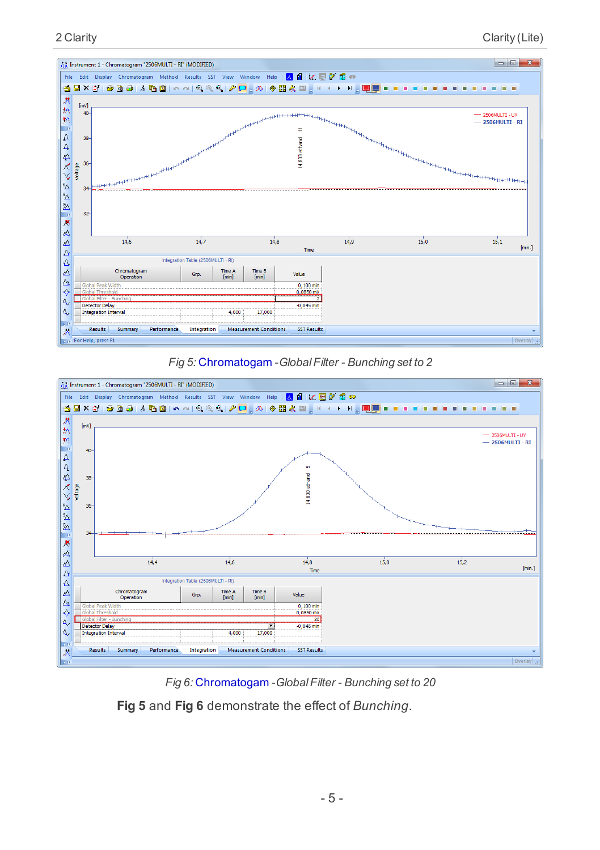





*Fig 6:* Chromatogam *-GlobalFilter - Bunching set to 20*

**Fig 5** and **Fig 6** demonstrate the effect of *Bunching*.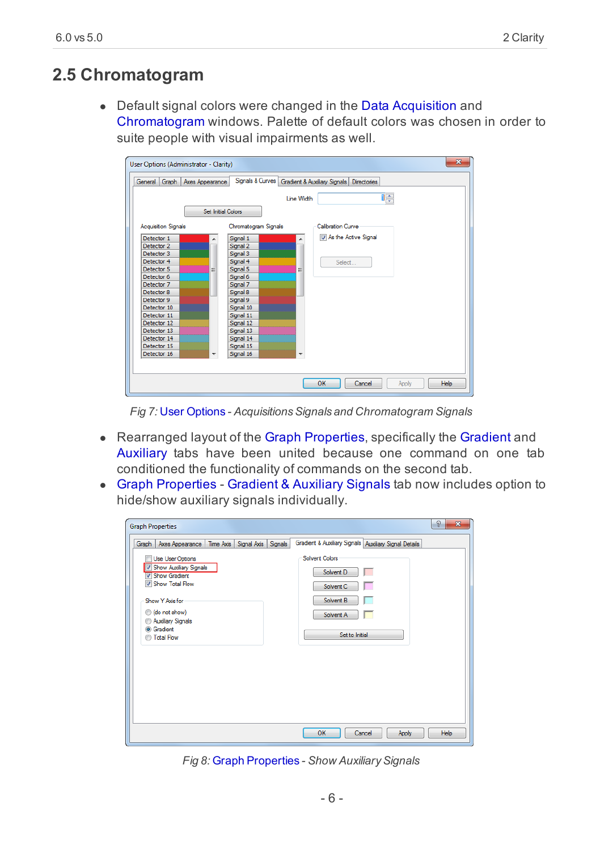# <span id="page-9-0"></span>**2.5 Chromatogram**

• Default signal colors were changed in the Data Acquisition and Chromatogram windows. Palette of default colors was chosen in order to suite people with visual impairments as well.

| User Options (Administrator - Clarity) |                           |                                                 |            |                          |                    | $\overline{\mathbf{x}}$ |
|----------------------------------------|---------------------------|-------------------------------------------------|------------|--------------------------|--------------------|-------------------------|
| Graph<br>General                       | Axes Appearance           | Signals & Curves   Gradient & Auxiliary Signals |            |                          | <b>Directories</b> |                         |
|                                        |                           |                                                 | Line Width |                          | I¢                 |                         |
|                                        | <b>Set Initial Colors</b> |                                                 |            |                          |                    |                         |
| <b>Acquisition Signals</b>             |                           | Chromatogram Signals                            |            | <b>Calibration Curve</b> |                    |                         |
| Detector 1<br>Detector 2               |                           | Signal 1                                        |            | As the Active Signal     |                    |                         |
| Detector 3                             |                           | Signal 2<br>Signal 3                            |            |                          |                    |                         |
| Detector 4                             |                           | Signal 4                                        |            | Select                   |                    |                         |
| Detector 5                             | ≡                         | Signal 5                                        | Ξ          |                          |                    |                         |
| Detector 6                             |                           | Signal 6                                        |            |                          |                    |                         |
| Detector 7                             |                           | Signal 7                                        |            |                          |                    |                         |
| Detector 8                             |                           | Signal 8                                        |            |                          |                    |                         |
| Detector 9<br>Detector 10              |                           | Signal 9<br>Signal 10                           |            |                          |                    |                         |
| Detector 11                            |                           | Signal 11                                       |            |                          |                    |                         |
| Detector 12                            |                           | Signal 12                                       |            |                          |                    |                         |
| Detector 13                            |                           | Signal 13                                       |            |                          |                    |                         |
| Detector 14                            |                           | Signal 14                                       |            |                          |                    |                         |
| Detector 15                            |                           | Signal 15                                       |            |                          |                    |                         |
| Detector 16                            |                           | Signal 16                                       |            |                          |                    |                         |
|                                        |                           |                                                 |            |                          |                    |                         |
|                                        |                           |                                                 |            |                          |                    |                         |
|                                        |                           |                                                 |            | OK                       | Cancel             | <b>Help</b><br>Apply    |

*Fig* 7: User Options - *Acquisitions Signals* and *Chromatogram Signals* 

- Rearranged layout of the Graph Properties, specifically the Gradient and Auxiliary tabs have been united because one command on one tab conditioned the functionality of commands on the second tab.
- Graph Properties Gradient & Auxiliary Signals tab now includes option to hide/show auxiliary signals individually.

| <b>Graph Properties</b> |                                                                                                                                                                                       |           |             |         |                                                                                                  | P<br>$\overline{\mathbf{x}}$ |
|-------------------------|---------------------------------------------------------------------------------------------------------------------------------------------------------------------------------------|-----------|-------------|---------|--------------------------------------------------------------------------------------------------|------------------------------|
| Graph                   | Axes Appearance                                                                                                                                                                       | Time Axis | Signal Axis | Signals | Gradient & Auxiliary Signals   Auxiliary Signal Details                                          |                              |
|                         | Use User Options<br>V Show Auxiliary Signals<br>V Show Gradient<br>Show Total Flow<br>Show Y Axis for<br>(do not show)<br>Auxiliary Signals<br><b>O</b> Gradient<br><b>Total Flow</b> |           |             |         | <b>Solvent Colors</b><br>Solvent D<br>┍<br>Solvent C<br>Solvent B<br>Solvent A<br>Set to Initial |                              |
|                         |                                                                                                                                                                                       |           |             |         |                                                                                                  |                              |
|                         |                                                                                                                                                                                       |           |             |         | OK<br>Cancel<br>Apply                                                                            | Help                         |

*Fig 8: Graph Properties - Show Auxiliary Signals*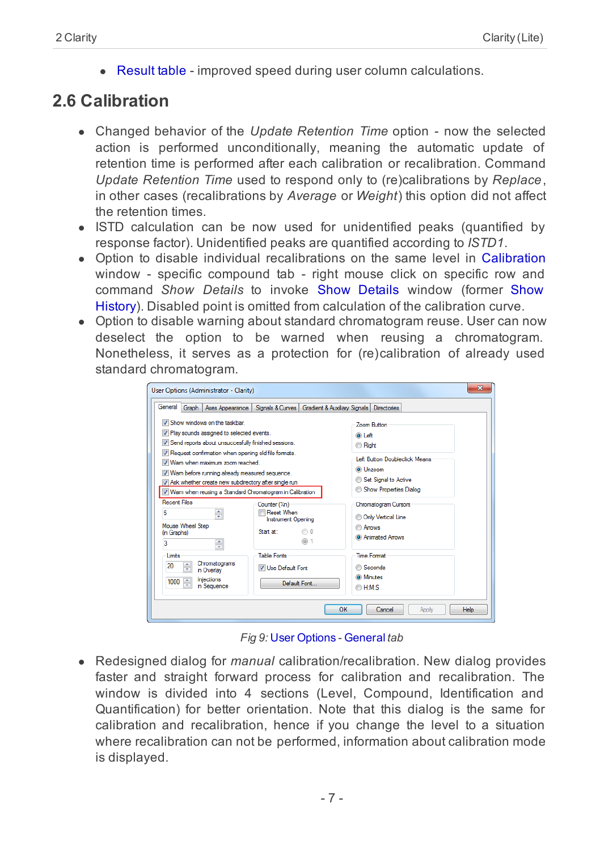• Result table - improved speed during user column calculations.

# <span id="page-10-0"></span>**2.6 Calibration**

- Changed behavior of the *Update Retention Time* option now the selected action is performed unconditionally, meaning the automatic update of retention time is performed after each calibration or recalibration. Command *Update Retention Time* used to respond only to (re)calibrations by *Replace*, in other cases (recalibrations by *Average* or *Weight*) this option did not affect the retention times.
- ISTD calculation can be now used for unidentified peaks (quantified by response factor). Unidentified peaks are quantified according to *ISTD1*.
- Option to disable individual recalibrations on the same level in Calibration window - specific compound tab - right mouse click on specific row and command *Show Details* to invoke Show Details window (former Show History). Disabled point is omitted from calculation of the calibration curve.
- Option to disable warning about standard chromatogram reuse. User can now deselect the option to be warned when reusing a chromatogram. Nonetheless, it serves as a protection for (re)calibration of already used standard chromatogram.

| User Options (Administrator - Clarity)                                                                                                                                                                                                                                                                                                                                                                   |                                                                                                                  |                                                               |                                |                                                                                                                                           | $\mathbf{x}$ |
|----------------------------------------------------------------------------------------------------------------------------------------------------------------------------------------------------------------------------------------------------------------------------------------------------------------------------------------------------------------------------------------------------------|------------------------------------------------------------------------------------------------------------------|---------------------------------------------------------------|--------------------------------|-------------------------------------------------------------------------------------------------------------------------------------------|--------------|
| General Graph Axes Appearance                                                                                                                                                                                                                                                                                                                                                                            |                                                                                                                  | Signals & Curves   Gradient & Auxiliary Signals   Directories |                                |                                                                                                                                           |              |
| Show windows on the taskbar.<br>7 Play sounds assigned to selected events.<br>V Send reports about unsuccesfully finished sessions.<br>V Request confirmation when opening old file formats.<br>V Wam when maximum zoom reached.<br>V Wam before running already measured sequence.<br>Ask whether create new subdirectory after single run<br>V Wam when reusing a Standard Chromatogram in Calibration |                                                                                                                  |                                                               | O Left<br><b>Right</b>         | Zoom Button<br>Left Button Doubleclick Means<br>C Unzoom<br>Set Signal to Active<br>Show Properties Dialog                                |              |
| <b>Recent Files</b><br>÷<br>5<br>Mouse Wheel Step<br>(in Graphs)<br>3<br>÷<br>limits<br>Chromatograms<br>÷<br>20<br>in Overlav<br>Injections<br>1000<br>$\div$<br>in Sequence                                                                                                                                                                                                                            | Counter (%n)<br>Reset When<br><b>Instrument Opening</b><br>Start at:<br><b>Table Fonts</b><br>V Use Default Font | <b>0</b><br>(a) 1<br>Default Font                             | <b>Arrows</b><br><b>OH:M:S</b> | Chromatogram Cursors<br><b>Only Vertical Line</b><br><b>C</b> Animated Arrows<br><b>Time Format</b><br><b>Seconds</b><br><b>O</b> Minutes |              |
|                                                                                                                                                                                                                                                                                                                                                                                                          |                                                                                                                  | OK                                                            |                                | Cancel<br>Apply                                                                                                                           | <b>Help</b>  |

*Fig 9:* User Options *-* General *tab*

• Redesigned dialog for *manual* calibration/recalibration. New dialog provides faster and straight forward process for calibration and recalibration. The window is divided into 4 sections (Level, Compound, Identification and Quantification) for better orientation. Note that this dialog is the same for calibration and recalibration, hence if you change the level to a situation where recalibration can not be performed, information about calibration mode is displayed.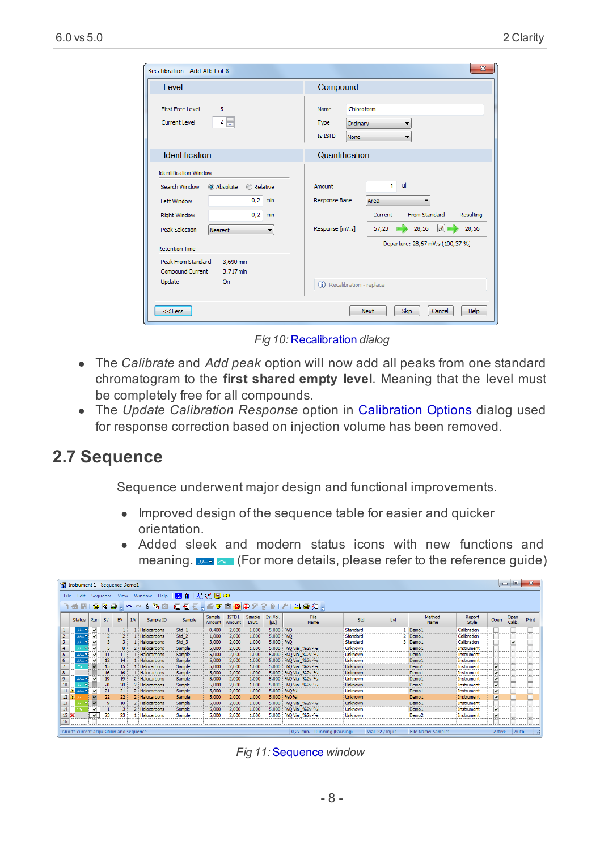| Recalibration - Add All: 1 of 8                                                                                                                                                                                                           | $\overline{\mathbf{x}}$                                                                                                                                                                                                             |  |  |  |  |  |  |  |
|-------------------------------------------------------------------------------------------------------------------------------------------------------------------------------------------------------------------------------------------|-------------------------------------------------------------------------------------------------------------------------------------------------------------------------------------------------------------------------------------|--|--|--|--|--|--|--|
| I evel                                                                                                                                                                                                                                    | Compound                                                                                                                                                                                                                            |  |  |  |  |  |  |  |
| <b>First Free Level</b><br>5<br>$2\frac{4}{x}$<br>Current Level                                                                                                                                                                           | Chloroform<br>Name<br>Type<br>Ordinary<br>$\overline{\phantom{a}}$<br><b>Is ISTD</b><br>None<br>$\overline{\phantom{a}}$                                                                                                            |  |  |  |  |  |  |  |
| Identification                                                                                                                                                                                                                            | Quantification                                                                                                                                                                                                                      |  |  |  |  |  |  |  |
| <b>Identification Window</b><br>Search Window<br>@ Absolute<br><b>Relative</b><br>0.2<br>min<br>Left Window<br>0.2<br><b>Right Window</b><br>min<br><b>Peak Selection</b><br>Nearest<br>$\overline{\phantom{a}}$<br><b>Retention Time</b> | $\mathbf{1}$<br><b>ul</b><br>Amount<br><b>Response Base</b><br>Area<br>۰<br><b>From Standard</b><br>Resulting<br>Current<br>2 <sup>1</sup><br>Response [mV.s]<br>28,56<br>28,56<br>57,23<br>- 3<br>Departure: 28,67 mV.s (100,37 %) |  |  |  |  |  |  |  |
| Peak From Standard<br>3.690 min<br><b>Compound Current</b><br>3,717 min<br>Update<br>On<br>$<<$ Less                                                                                                                                      | (i) Recalibration - replace<br>Help<br>Next<br>Skip<br>Cancel                                                                                                                                                                       |  |  |  |  |  |  |  |

*Fig 10:* Recalibration *dialog*

- <sup>l</sup> The *Calibrate* and *Add peak* option will now add all peaks from one standard chromatogram to the **first shared empty level**. Meaning that the level must be completely free for all compounds.
- **•** The *Update Calibration Response* option in Calibration Options dialog used for response correction based on injection volume has been removed.

### <span id="page-11-0"></span>**2.7 Sequence**

Sequence underwent major design and functional improvements.

- Improved design of the sequence table for easier and quicker orientation.
- Added sleek and modern status icons with new functions and meaning.  $\frac{1}{2}$  (For more details, please refer to the reference quide)

|                               | $\qquad \qquad \qquad \Box$<br>11 Instrument 1 - Sequence Demo1 |                         |           |                                         |    |                                              |                  |                  |                 |                 |                    |                               |                 |                    |                           |                   |                         |                |                |
|-------------------------------|-----------------------------------------------------------------|-------------------------|-----------|-----------------------------------------|----|----------------------------------------------|------------------|------------------|-----------------|-----------------|--------------------|-------------------------------|-----------------|--------------------|---------------------------|-------------------|-------------------------|----------------|----------------|
| File                          | Edit                                                            |                         |           |                                         |    | Sequence View Window Help   A     A   C   30 |                  |                  |                 |                 |                    |                               |                 |                    |                           |                   |                         |                |                |
| 100 % 的图 图 图 图<br>うすめ<br>a da |                                                                 |                         |           |                                         |    |                                              |                  |                  |                 |                 |                    |                               |                 |                    |                           |                   |                         |                |                |
|                               | <b>Status</b>                                                   | Run                     | <b>SV</b> | EV                                      | IN | Sample ID                                    | Sample           | Sample<br>Amount | ISTD1<br>Amount | Sample<br>Dfut. | Ini.Vol.<br>[jul.] | File<br>Name                  | Std             | <b>Lvl</b>         | Method<br><b>Name</b>     | Report<br>Style   | Open                    | Open<br>Calib. | Print          |
|                               | سلد                                                             |                         |           |                                         |    | Halocarbons                                  | Std 1            | 0,400            | 2,000           | 1,000           | 5,000 %Q           |                               | Standard        |                    | Demo:                     | Calibration       |                         |                |                |
|                               | $\sim$                                                          |                         |           |                                         |    | Halocarbons                                  | Std <sub>2</sub> | 1.000            | 2,000           | 1,000           | 5,000 %0           |                               | Standard        |                    | Demo:                     | Calibration       |                         |                |                |
|                               |                                                                 |                         |           | 3                                       |    | Halocarbons                                  | Std <sub>3</sub> | 3,000            | 2,000           | 1,000           | 5,000 %Q           |                               | Standard        |                    | 3 Demo 1                  | Calibration       |                         |                |                |
|                               |                                                                 |                         |           | 8                                       |    | 2 Halocarbons                                | Sample           | 5,000            | 2,000           | 1,000           |                    | 5,000 96Q Vial 962v-96i       | <b>Linknown</b> |                    | Demo:                     | Instrument        |                         |                |                |
|                               | - بابار                                                         |                         |           | 11                                      |    | Halocarbons                                  | Sample           | 5,000            | 2,000           | 1,000           |                    | 5,000 %Q Vial_%2v-%i          | Unknown         |                    | Demo:                     | Instrument        |                         |                |                |
| 6                             | ₩…د                                                             |                         |           | 14                                      |    | Halocarbons                                  | Sample           | 5,000            | 2,000           | 1,000           |                    | 5,000 %Q Vial_%2v-%           | <b>Linknows</b> |                    | Demo:                     | Instrument        |                         |                |                |
|                               |                                                                 |                         | 15        | 15                                      |    | Halocarbons                                  | Sample           | 5,000            | 2,000           | 1,000           |                    | 5,000 96Q Vial 962v-96i       | Unknown         |                    | Demo:                     | Instrument        |                         |                |                |
|                               |                                                                 |                         | 16        | 16                                      |    | Halocarbons                                  | Sample           | 5,000            | 2,000           | 1,000           |                    | 5,000   %Q Vial_%2v-%i        | <b>Unknown</b>  |                    | Demo:                     | Instrument        |                         |                |                |
|                               | 335.00                                                          |                         | 19        | 19                                      |    | 2 Halocarbons                                | Sample           | 5,000            | 2,000           | 1.000           |                    | 5,000   %Q Vial %2v-%i        | Linknown        |                    | Demo <sub>1</sub>         | <b>Instrument</b> |                         |                |                |
| 10                            |                                                                 |                         | 20        | 20                                      |    | 2 Halocarbons                                | Sample           | 5,000            | 2,000           | 1,000           |                    | 5,000 96Q Vial 962v-96i       | Unknown         |                    | Demo:                     | Instrument        |                         |                |                |
| 11/                           | $1.11 - 1.02$                                                   |                         | 21        | 21                                      |    | 2 Halocarbons                                | Sample           | 5,000            | 2,000           | 1,000           |                    | 5,000 %O%                     | Unknown         |                    | Demo <sub>1</sub>         | Instrument        | $\overline{\mathbf{v}}$ |                |                |
| 12 <sup>°</sup>               |                                                                 |                         | 22        | 22                                      |    | 2 Halocarbons                                | Sample           | 5,000            | 2,000           | 1.000           |                    | 5,000 %0%                     | Unknown         |                    | Demo <sub>1</sub>         | Instrument        | $\overline{a}$          |                |                |
| 13                            |                                                                 |                         | $\bullet$ | 10 <sub>10</sub>                        |    | 2 Halocarbons                                | Sample           | 5,000            | 2,000           | 1.000           |                    | 5,000 96Q Vial 962v-96i       | Linknown        |                    | Demo <sub>1</sub>         | Instrument        |                         |                |                |
| 14                            |                                                                 | $\overline{\mathbf{v}}$ |           |                                         |    | 2 Halocarbons                                | Sample           | 5,000            | 2,000           | 1,000           |                    | 5,000 %O Vial %2v-%i          | Unknown         |                    | Demo:                     | Instrument        |                         |                |                |
| $15 \times$                   |                                                                 | ▽                       | 23        | 23                                      |    | Halocarbons                                  | Sample           | 5,000            | 2,000           | 1,000           |                    | 5,000   %O Vial %2v-%i        | Unknown         |                    | Demo <sub>2</sub>         | Instrument        |                         |                |                |
| 16                            |                                                                 |                         |           |                                         |    |                                              |                  |                  |                 |                 |                    |                               |                 |                    |                           |                   |                         |                |                |
|                               |                                                                 |                         |           | Aborts current acquisition and sequence |    |                                              |                  |                  |                 |                 |                    | 0.27 min. - Running (Pausing) |                 | Vial: 22 / Ini.: 1 | <b>File Name: Sample1</b> |                   | Active                  | Auto           | $\mathbb{R}^2$ |

*Fig 11:* Sequence *window*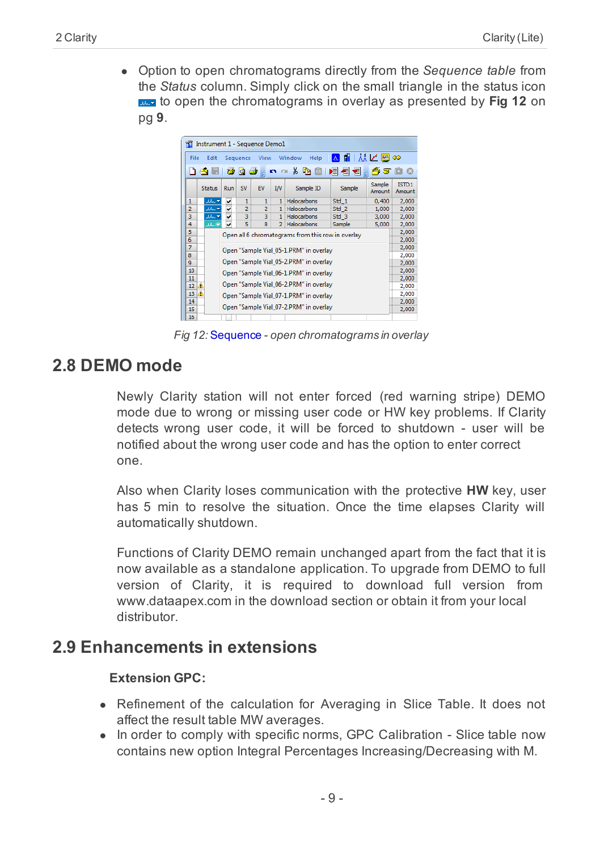• Option to open chromatograms directly from the *Sequence table* from the *Status* column. Simply click on the small triangle in the status icon to open the [chromatograms](#page-12-2) in overlay as presented by **Fig 12** on pg **9**.



*Fig 12:* Sequence *- open chromatograms in overlay*

### <span id="page-12-2"></span><span id="page-12-0"></span>**2.8 DEMO mode**

Newly Clarity station will not enter forced (red warning stripe) DEMO mode due to wrong or missing user code or HW key problems. If Clarity detects wrong user code, it will be forced to shutdown - user will be notified about the wrong user code and has the option to enter correct one.

Also when Clarity loses communication with the protective **HW** key, user has 5 min to resolve the situation. Once the time elapses Clarity will automatically shutdown.

Functions of Clarity DEMO remain unchanged apart from the fact that it is now available as a standalone application. To upgrade from DEMO to full version of Clarity, it is required to download full version from www.dataapex.com in the download section or obtain it from your local distributor.

### <span id="page-12-1"></span>**2.9 Enhancements in extensions**

#### **Extension GPC:**

- Refinement of the calculation for Averaging in Slice Table. It does not affect the result table MW averages.
- In order to comply with specific norms, GPC Calibration Slice table now contains new option Integral Percentages Increasing/Decreasing with M.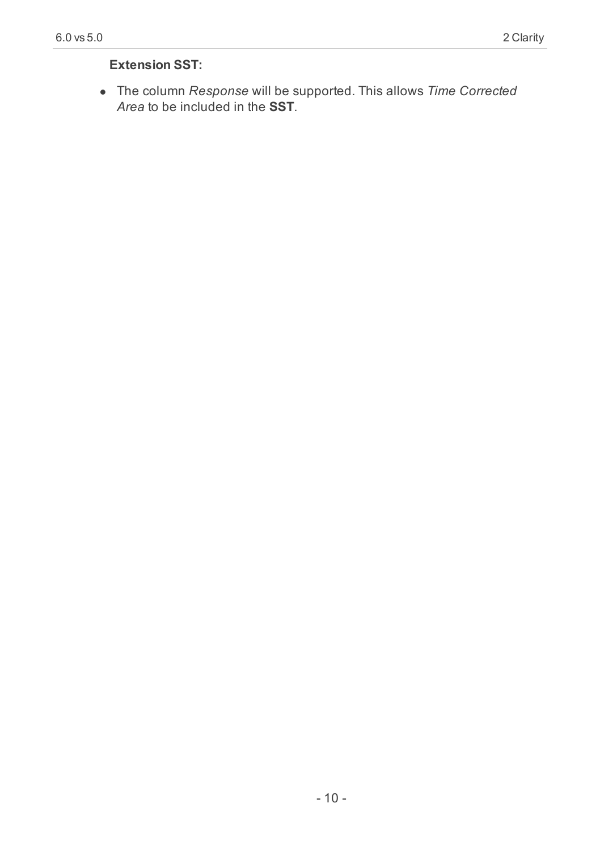#### **Extension SST:**

<sup>l</sup> The column *Response* will be supported. This allows *Time Corrected Area* to be included in the **SST**.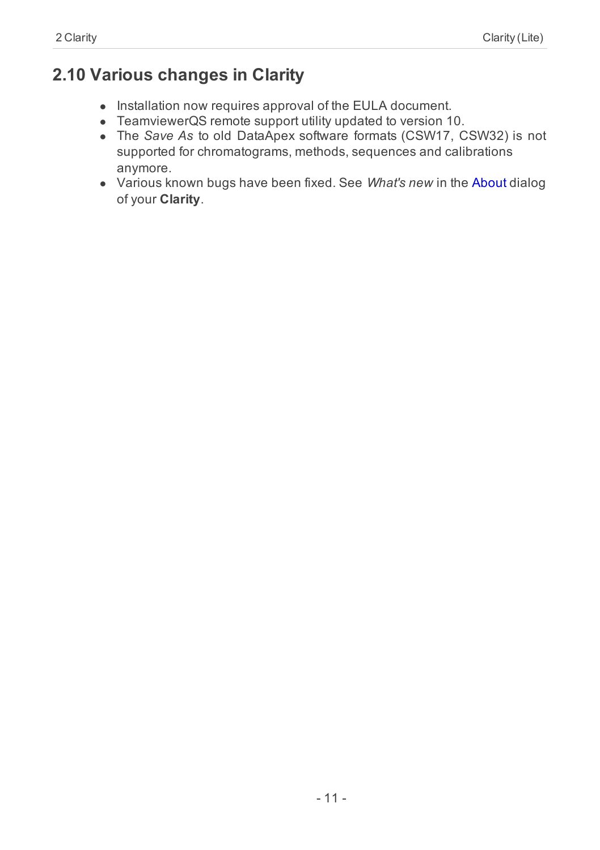# <span id="page-14-0"></span>**2.10 Various changes in Clarity**

- Installation now requires approval of the EULA document.
- TeamviewerQS remote support utility updated to version 10.
- <sup>l</sup> The *Save As* to old DataApex software formats (CSW17, CSW32) is not supported for chromatograms, methods, sequences and calibrations anymore.
- **.** Various known bugs have been fixed. See *What's new* in the About dialog of your **Clarity**.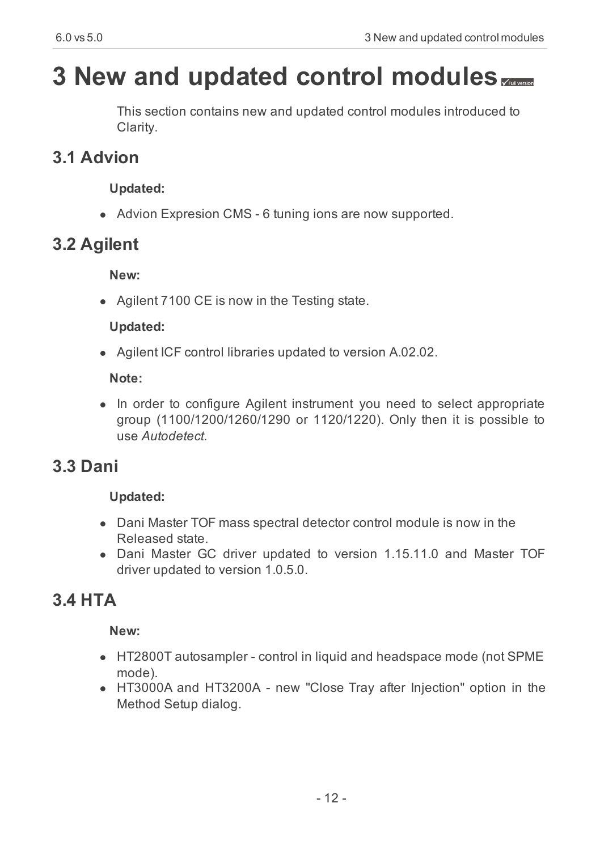# <span id="page-15-0"></span>**3 New and updated control modules**

This section contains new and updated control modules introduced to Clarity.

# <span id="page-15-1"></span>**3.1 Advion**

#### **Updated:**

• Advion Expresion CMS - 6 tuning ions are now supported.

# <span id="page-15-2"></span>**3.2 Agilent**

#### **New:**

• Agilent 7100 CE is now in the Testing state.

#### **Updated:**

• Agilent ICF control libraries updated to version A.02.02.

#### **Note:**

• In order to configure Agilent instrument you need to select appropriate group (1100/1200/1260/1290 or 1120/1220). Only then it is possible to use *Autodetect*.

# <span id="page-15-3"></span>**3.3 Dani**

#### **Updated:**

- Dani Master TOF mass spectral detector control module is now in the Released state.
- Dani Master GC driver updated to version 1.15.11.0 and Master TOF driver updated to version 1.0.5.0.

# <span id="page-15-4"></span>**3.4 HTA**

#### **New:**

- HT2800T autosampler control in liquid and headspace mode (not SPME mode).
- HT3000A and HT3200A new "Close Tray after Injection" option in the Method Setup dialog.